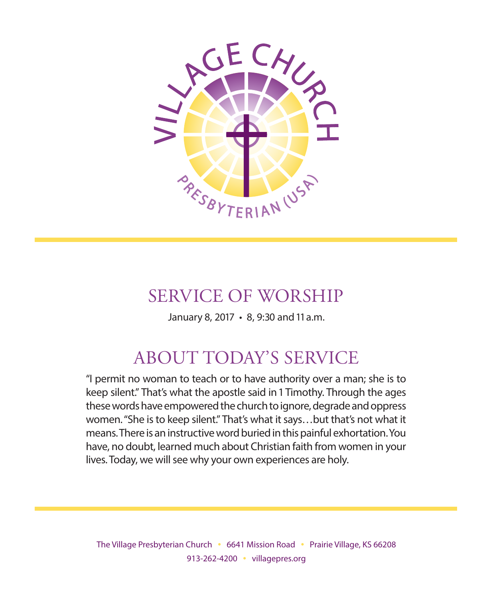

# SERVICE OF WORSHIP

January 8, 2017 • 8, 9:30 and 11 a.m.

# ABOUT TODAY'S SERVICE

"I permit no woman to teach or to have authority over a man; she is to keep silent." That's what the apostle said in 1 Timothy. Through the ages these words have empowered the church to ignore, degrade and oppress women. "She is to keep silent." That's what it says…but that's not what it means. There is an instructive word buried in this painful exhortation. You have, no doubt, learned much about Christian faith from women in your lives. Today, we will see why your own experiences are holy.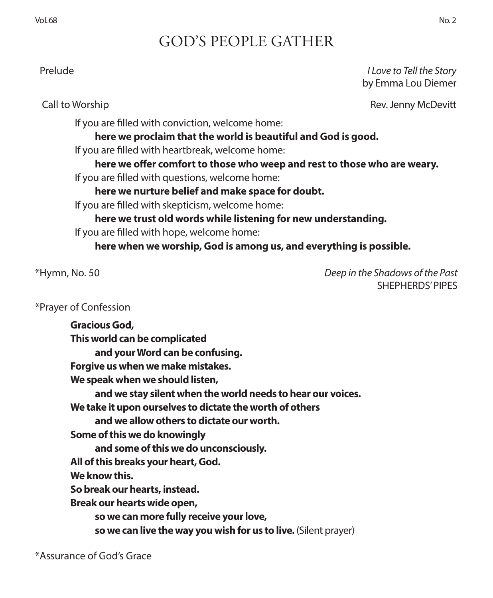# GOD'S PEOPLE GATHER

 Prelude *I Love to Tell the Story* by Emma Lou Diemer

Call to Worship **Call to Worship** Rev. Jenny McDevitt

If you are filled with conviction, welcome home:

**here we proclaim that the world is beautiful and God is good.**

If you are filled with heartbreak, welcome home:

**here we offer comfort to those who weep and rest to those who are weary.** If you are filled with questions, welcome home:

**here we nurture belief and make space for doubt.** 

If you are filled with skepticism, welcome home:

**here we trust old words while listening for new understanding.** If you are filled with hope, welcome home:

**here when we worship, God is among us, and everything is possible.**

\*Hymn, No. 50 *Deep in the Shadows of the Past* SHEPHERDS' PIPES

### \*Prayer of Confession

**Gracious God, This world can be complicated and your Word can be confusing. Forgive us when we make mistakes. We speak when we should listen, and we stay silent when the world needs to hear our voices. We take it upon ourselves to dictate the worth of others and we allow others to dictate our worth. Some of this we do knowingly and some of this we do unconsciously. All of this breaks your heart, God. We know this. So break our hearts, instead. Break our hearts wide open, so we can more fully receive your love, so we can live the way you wish for us to live.** (Silent prayer)

\*Assurance of God's Grace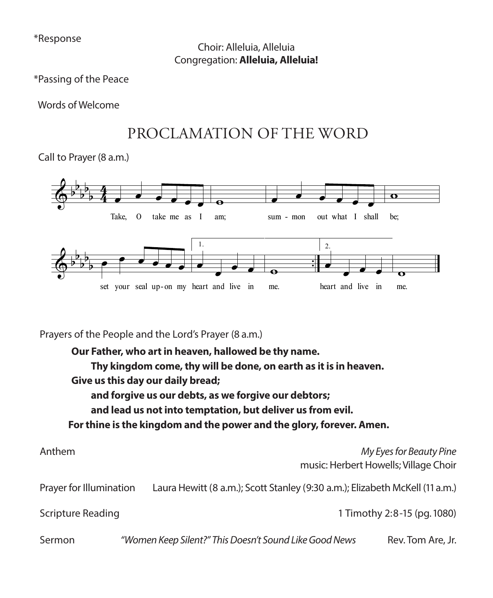\*Response Choir: Alleluia, Alleluia Congregation: **Alleluia, Alleluia!**

\*Passing of the Peace

Words of Welcome

# PROCLAMATION OF THE WORD

Call to Prayer (8 a.m.)



Prayers of the People and the Lord's Prayer (8 a.m.)

**Our Father, who art in heaven, hallowed be thy name. Thy kingdom come, thy will be done, on earth as it is in heaven. Give us this day our daily bread; and forgive us our debts, as we forgive our debtors; and lead us not into temptation, but deliver us from evil. For thine is the kingdom and the power and the glory, forever. Amen.**

| Anthem                  |                                                                              | My Eyes for Beauty Pine<br>music: Herbert Howells; Village Choir |
|-------------------------|------------------------------------------------------------------------------|------------------------------------------------------------------|
| Prayer for Illumination | Laura Hewitt (8 a.m.); Scott Stanley (9:30 a.m.); Elizabeth McKell (11 a.m.) |                                                                  |
| Scripture Reading       |                                                                              | 1 Timothy 2:8-15 (pg. 1080)                                      |
| Sermon                  | "Women Keep Silent?" This Doesn't Sound Like Good News                       | Rev. Tom Are, Jr.                                                |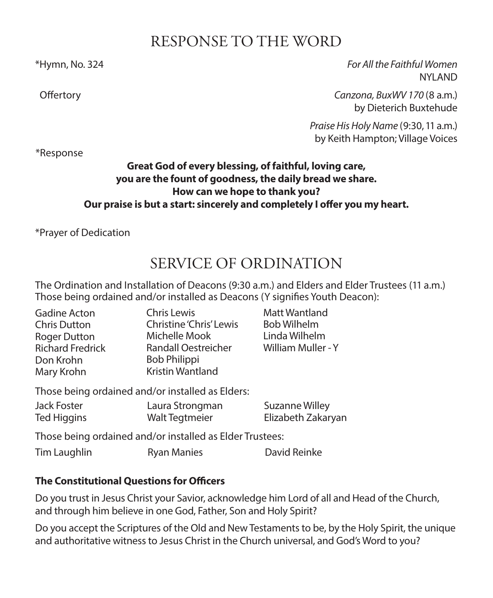## RESPONSE TO THE WORD

\*Hymn, No. 324 *For All the Faithful Women* NYLAND

 Offertory *Canzona, BuxWV 170* (8 a.m.) by Dieterich Buxtehude

> *Praise His Holy Name* (9:30, 11 a.m.) by Keith Hampton; Village Voices

\*Response

### **Great God of every blessing, of faithful, loving care, you are the fount of goodness, the daily bread we share. How can we hope to thank you? Our praise is but a start: sincerely and completely I offer you my heart.**

\*Prayer of Dedication

# SERVICE OF ORDINATION

The Ordination and Installation of Deacons (9:30 a.m.) and Elders and Elder Trustees (11 a.m.) Those being ordained and/or installed as Deacons (Y signifies Youth Deacon):

| Gadine Acton            | Chris Lewis             | Matt Wantland      |
|-------------------------|-------------------------|--------------------|
| <b>Chris Dutton</b>     | Christine 'Chris' Lewis | <b>Bob Wilhelm</b> |
| <b>Roger Dutton</b>     | Michelle Mook           | Linda Wilhelm      |
| <b>Richard Fredrick</b> | Randall Oestreicher     | William Muller - Y |
| Don Krohn               | <b>Bob Philippi</b>     |                    |
| Mary Krohn              | Kristin Wantland        |                    |
|                         |                         |                    |

Those being ordained and/or installed as Elders:

| Jack Foster | Laura Strongman | Suzanne Willey     |
|-------------|-----------------|--------------------|
| Ted Higgins | Walt Tegtmeier  | Elizabeth Zakaryan |

Those being ordained and/or installed as Elder Trustees:

Tim Laughlin **Ryan Manies** David Reinke

## **The Constitutional Questions for Officers**

Do you trust in Jesus Christ your Savior, acknowledge him Lord of all and Head of the Church, and through him believe in one God, Father, Son and Holy Spirit?

Do you accept the Scriptures of the Old and New Testaments to be, by the Holy Spirit, the unique and authoritative witness to Jesus Christ in the Church universal, and God's Word to you?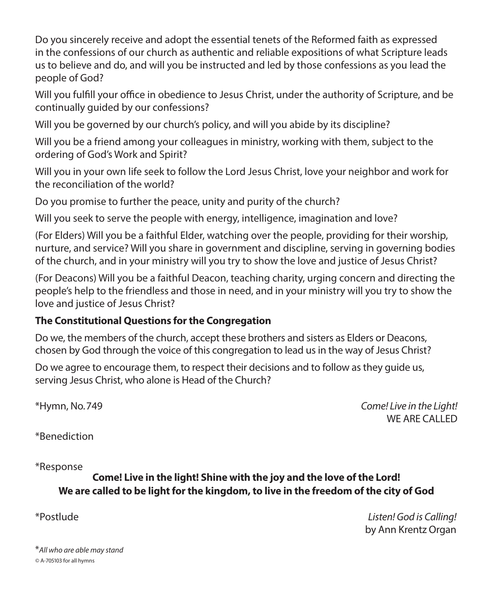Do you sincerely receive and adopt the essential tenets of the Reformed faith as expressed in the confessions of our church as authentic and reliable expositions of what Scripture leads us to believe and do, and will you be instructed and led by those confessions as you lead the people of God?

Will you fulfill your office in obedience to Jesus Christ, under the authority of Scripture, and be continually guided by our confessions?

Will you be governed by our church's policy, and will you abide by its discipline?

Will you be a friend among your colleagues in ministry, working with them, subject to the ordering of God's Work and Spirit?

Will you in your own life seek to follow the Lord Jesus Christ, love your neighbor and work for the reconciliation of the world?

Do you promise to further the peace, unity and purity of the church?

Will you seek to serve the people with energy, intelligence, imagination and love?

(For Elders) Will you be a faithful Elder, watching over the people, providing for their worship, nurture, and service? Will you share in government and discipline, serving in governing bodies of the church, and in your ministry will you try to show the love and justice of Jesus Christ?

(For Deacons) Will you be a faithful Deacon, teaching charity, urging concern and directing the people's help to the friendless and those in need, and in your ministry will you try to show the love and justice of Jesus Christ?

### **The Constitutional Questions for the Congregation**

Do we, the members of the church, accept these brothers and sisters as Elders or Deacons, chosen by God through the voice of this congregation to lead us in the way of Jesus Christ?

Do we agree to encourage them, to respect their decisions and to follow as they guide us, serving Jesus Christ, who alone is Head of the Church?

\*Hymn, No. 749 *Come! Live in the Light!* WE ARE CALLED.

\*Benediction

\*Response

### **Come! Live in the light! Shine with the joy and the love of the Lord! We are called to be light for the kingdom, to live in the freedom of the city of God**

\*Postlude *Listen! God is Calling!*  by Ann Krentz Organ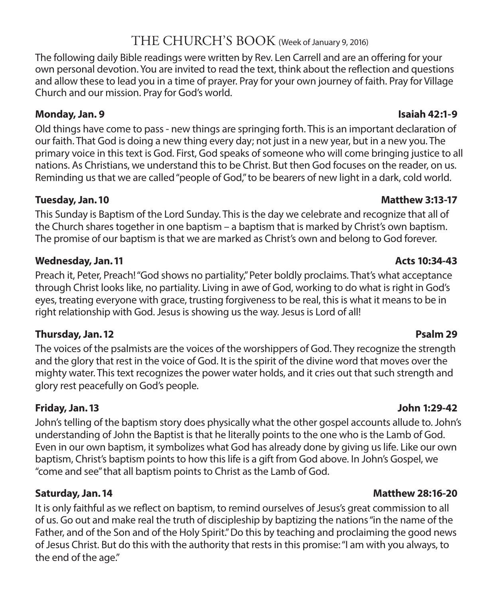## THE CHURCH'S BOOK (Week of January 9, 2016)

The following daily Bible readings were written by Rev. Len Carrell and are an offering for your own personal devotion. You are invited to read the text, think about the reflection and questions and allow these to lead you in a time of prayer. Pray for your own journey of faith. Pray for Village Church and our mission. Pray for God's world.

### **Monday, Jan. 9 Isaiah 42:1-9**

Old things have come to pass - new things are springing forth. This is an important declaration of our faith. That God is doing a new thing every day; not just in a new year, but in a new you. The primary voice in this text is God. First, God speaks of someone who will come bringing justice to all nations. As Christians, we understand this to be Christ. But then God focuses on the reader, on us. Reminding us that we are called "people of God," to be bearers of new light in a dark, cold world.

#### **Tuesday, Jan. 10 Matthew 3:13-17**

This Sunday is Baptism of the Lord Sunday. This is the day we celebrate and recognize that all of the Church shares together in one baptism – a baptism that is marked by Christ's own baptism. The promise of our baptism is that we are marked as Christ's own and belong to God forever.

#### **Wednesday, Jan. 11 Acts 10:34-43**

Preach it, Peter, Preach! "God shows no partiality," Peter boldly proclaims. That's what acceptance through Christ looks like, no partiality. Living in awe of God, working to do what is right in God's eyes, treating everyone with grace, trusting forgiveness to be real, this is what it means to be in right relationship with God. Jesus is showing us the way. Jesus is Lord of all!

### **Thursday, Jan. 12 Psalm 29**

The voices of the psalmists are the voices of the worshippers of God. They recognize the strength and the glory that rest in the voice of God. It is the spirit of the divine word that moves over the mighty water. This text recognizes the power water holds, and it cries out that such strength and glory rest peacefully on God's people.

### **Friday, Jan. 13 John 1:29-42**

John's telling of the baptism story does physically what the other gospel accounts allude to. John's understanding of John the Baptist is that he literally points to the one who is the Lamb of God. Even in our own baptism, it symbolizes what God has already done by giving us life. Like our own baptism, Christ's baptism points to how this life is a gift from God above. In John's Gospel, we "come and see" that all baptism points to Christ as the Lamb of God.

It is only faithful as we reflect on baptism, to remind ourselves of Jesus's great commission to all of us. Go out and make real the truth of discipleship by baptizing the nations "in the name of the Father, and of the Son and of the Holy Spirit." Do this by teaching and proclaiming the good news of Jesus Christ. But do this with the authority that rests in this promise: "I am with you always, to the end of the age."

#### **Saturday, Jan. 14 Matthew 28:16-20**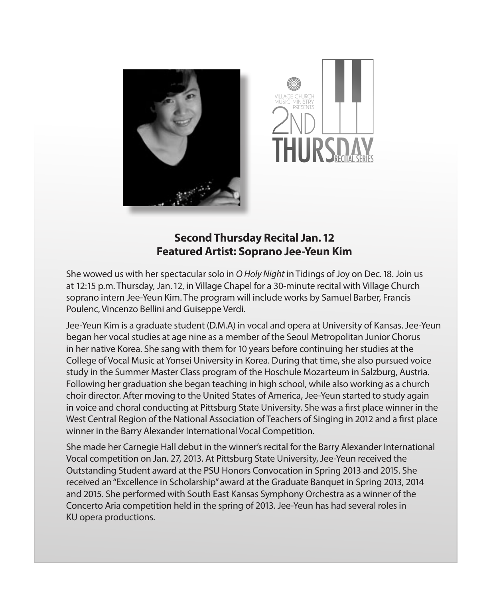



### **Second Thursday Recital Jan. 12 Featured Artist: Soprano Jee-Yeun Kim**

She wowed us with her spectacular solo in *O Holy Night* in Tidings of Joy on Dec. 18. Join us at 12:15 p.m. Thursday, Jan. 12, in Village Chapel for a 30-minute recital with Village Church soprano intern Jee-Yeun Kim. The program will include works by Samuel Barber, Francis Poulenc, Vincenzo Bellini and Guiseppe Verdi.

Jee-Yeun Kim is a graduate student (D.M.A) in vocal and opera at University of Kansas. Jee-Yeun began her vocal studies at age nine as a member of the Seoul Metropolitan Junior Chorus in her native Korea. She sang with them for 10 years before continuing her studies at the College of Vocal Music at Yonsei University in Korea. During that time, she also pursued voice study in the Summer Master Class program of the Hoschule Mozarteum in Salzburg, Austria. Following her graduation she began teaching in high school, while also working as a church choir director. After moving to the United States of America, Jee-Yeun started to study again in voice and choral conducting at Pittsburg State University. She was a first place winner in the West Central Region of the National Association of Teachers of Singing in 2012 and a first place winner in the Barry Alexander International Vocal Competition.

She made her Carnegie Hall debut in the winner's recital for the Barry Alexander International Vocal competition on Jan. 27, 2013. At Pittsburg State University, Jee-Yeun received the Outstanding Student award at the PSU Honors Convocation in Spring 2013 and 2015. She received an "Excellence in Scholarship" award at the Graduate Banquet in Spring 2013, 2014 and 2015. She performed with South East Kansas Symphony Orchestra as a winner of the Concerto Aria competition held in the spring of 2013. Jee-Yeun has had several roles in KU opera productions.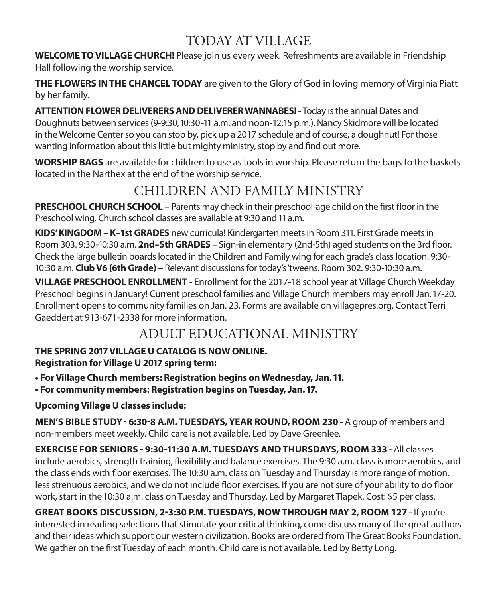# TODAY AT VILLAGE

**WELCOME TO VILLAGE CHURCH!** Please join us every week. Refreshments are available in Friendship Hall following the worship service.

**THE FLOWERS IN THE CHANCEL TODAY** are given to the Glory of God in loving memory of Virginia Piatt by her family.

**ATTENTION FLOWER DELIVERERS AND DELIVERER WANNABES! -** Today is the annual Dates and Doughnuts between services (9-9:30, 10:30-11 a.m. and noon-12:15 p.m.). Nancy Skidmore will be located in the Welcome Center so you can stop by, pick up a 2017 schedule and of course, a doughnut! For those wanting information about this little but mighty ministry, stop by and find out more.

**WORSHIP BAGS** are available for children to use as tools in worship. Please return the bags to the baskets located in the Narthex at the end of the worship service.

# CHILDREN AND FAMILY MINISTRY

**PRESCHOOL CHURCH SCHOOL** – Parents may check in their preschool-age child on the first floor in the Preschool wing. Church school classes are available at 9:30 and 11 a.m.

**KIDS' KINGDOM** – **K–1st GRADES** new curricula! Kindergarten meets in Room 311. First Grade meets in Room 303. 9:30-10:30 a.m. **2nd–5th GRADES** – Sign-in elementary (2nd-5th) aged students on the 3rd floor. Check the large bulletin boards located in the Children and Family wing for each grade's class location. 9:30- 10:30 a.m. **Club V6 (6th Grade)** – Relevant discussions for today's 'tweens. Room 302. 9:30-10:30 a.m.

**VILLAGE PRESCHOOL ENROLLMENT** - Enrollment for the 2017-18 school year at Village Church Weekday Preschool begins in January! Current preschool families and Village Church members may enroll Jan. 17-20. Enrollment opens to community families on Jan. 23. Forms are available on villagepres.org. Contact Terri Gaeddert at 913-671-2338 for more information.

## ADULT EDUCATIONAL MINISTRY

# **THE SPRING 2017 VILLAGE U CATALOG IS NOW ONLINE.**

**Registration for Village U 2017 spring term:** 

**• For Village Church members: Registration begins on Wednesday, Jan. 11.** 

**• For community members: Registration begins on Tuesday, Jan. 17.**

**Upcoming Village U classes include:**

**MEN'S BIBLE STUDY - 6:30-8 A.M. TUESDAYS, YEAR ROUND, ROOM 230** - A group of members and non-members meet weekly. Child care is not available. Led by Dave Greenlee.

**EXERCISE FOR SENIORS - 9:30-11:30 A.M. TUESDAYS AND THURSDAYS, ROOM 333 -** All classes include aerobics, strength training, flexibility and balance exercises. The 9:30 a.m. class is more aerobics, and the class ends with floor exercises. The 10:30 a.m. class on Tuesday and Thursday is more range of motion, less strenuous aerobics; and we do not include floor exercises. If you are not sure of your ability to do floor work, start in the 10:30 a.m. class on Tuesday and Thursday. Led by Margaret Tlapek. Cost: \$5 per class.

**GREAT BOOKS DISCUSSION, 2-3:30 P.M. TUESDAYS, NOW THROUGH MAY 2, ROOM 127** - If you're interested in reading selections that stimulate your critical thinking, come discuss many of the great authors and their ideas which support our western civilization. Books are ordered from The Great Books Foundation. We gather on the first Tuesday of each month. Child care is not available. Led by Betty Long.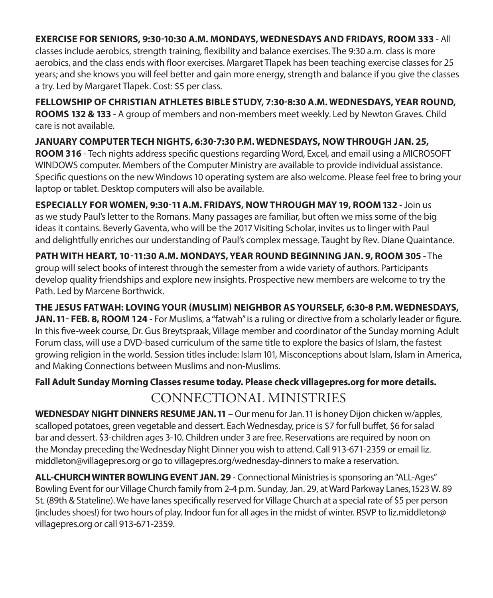#### **EXERCISE FOR SENIORS, 9:30-10:30 A.M. MONDAYS, WEDNESDAYS AND FRIDAYS, ROOM 333** - All

classes include aerobics, strength training, flexibility and balance exercises. The 9:30 a.m. class is more aerobics, and the class ends with floor exercises. Margaret Tlapek has been teaching exercise classes for 25 years; and she knows you will feel better and gain more energy, strength and balance if you give the classes a try. Led by Margaret Tlapek. Cost: \$5 per class.

**FELLOWSHIP OF CHRISTIAN ATHLETES BIBLE STUDY, 7:30-8:30 A.M. WEDNESDAYS, YEAR ROUND, ROOMS 132 & 133** - A group of members and non-members meet weekly. Led by Newton Graves. Child care is not available.

**JANUARY COMPUTER TECH NIGHTS, 6:30-7:30 P.M. WEDNESDAYS, NOW THROUGH JAN. 25, ROOM 316** - Tech nights address specific questions regarding Word, Excel, and email using a MICROSOFT WINDOWS computer. Members of the Computer Ministry are available to provide individual assistance. Specific questions on the new Windows 10 operating system are also welcome. Please feel free to bring your laptop or tablet. Desktop computers will also be available.

**ESPECIALLY FOR WOMEN, 9:30-11 A.M. FRIDAYS, NOW THROUGH MAY 19, ROOM 132** - Join us as we study Paul's letter to the Romans. Many passages are familiar, but often we miss some of the big ideas it contains. Beverly Gaventa, who will be the 2017 Visiting Scholar, invites us to linger with Paul and delightfully enriches our understanding of Paul's complex message. Taught by Rev. Diane Quaintance.

**PATH WITH HEART, 10-11:30 A.M. MONDAYS, YEAR ROUND BEGINNING JAN. 9, ROOM 305** - The group will select books of interest through the semester from a wide variety of authors. Participants develop quality friendships and explore new insights. Prospective new members are welcome to try the Path. Led by Marcene Borthwick.

**THE JESUS FATWAH: LOVING YOUR (MUSLIM) NEIGHBOR AS YOURSELF, 6:30-8 P.M. WEDNESDAYS, JAN. 11- FEB. 8, ROOM 124** - For Muslims, a "fatwah" is a ruling or directive from a scholarly leader or figure. In this five-week course, Dr. Gus Breytspraak, Village member and coordinator of the Sunday morning Adult Forum class, will use a DVD-based curriculum of the same title to explore the basics of Islam, the fastest growing religion in the world. Session titles include: Islam 101, Misconceptions about Islam, Islam in America, and Making Connections between Muslims and non-Muslims.

### **Fall Adult Sunday Morning Classes resume today. Please check villagepres.org for more details.** CONNECTIONAL MINISTRIES

**WEDNESDAY NIGHT DINNERS RESUME JAN. 11** – Our menu for Jan. 11 is honey Dijon chicken w/apples, scalloped potatoes, green vegetable and dessert. Each Wednesday, price is \$7 for full buffet, \$6 for salad bar and dessert. \$3-children ages 3-10. Children under 3 are free. Reservations are required by noon on the Monday preceding the Wednesday Night Dinner you wish to attend. Call 913-671-2359 or email liz. middleton@villagepres.org or go to villagepres.org/wednesday-dinners to make a reservation.

**ALL-CHURCH WINTER BOWLING EVENT JAN. 29** - Connectional Ministries is sponsoring an "ALL-Ages" Bowling Event for our Village Church family from 2-4 p.m. Sunday, Jan. 29, at Ward Parkway Lanes, 1523 W. 89 St. (89th & Stateline). We have lanes specifically reserved for Village Church at a special rate of \$5 per person (includes shoes!) for two hours of play. Indoor fun for all ages in the midst of winter. RSVP to liz.middleton@ villagepres.org or call 913-671-2359.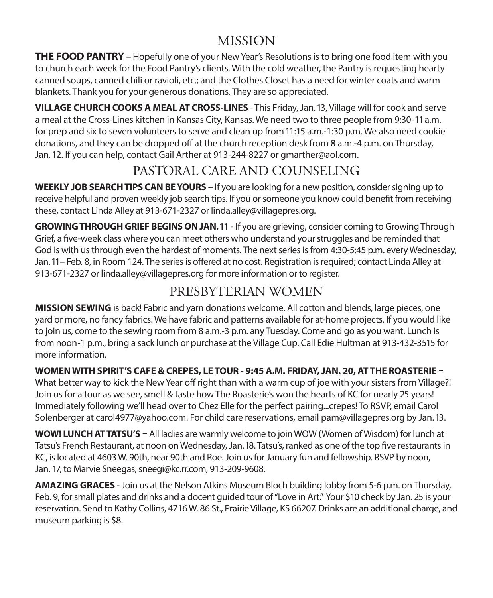## MISSION

**THE FOOD PANTRY** – Hopefully one of your New Year's Resolutions is to bring one food item with you to church each week for the Food Pantry's clients. With the cold weather, the Pantry is requesting hearty canned soups, canned chili or ravioli, etc.; and the Clothes Closet has a need for winter coats and warm blankets. Thank you for your generous donations. They are so appreciated.

**VILLAGE CHURCH COOKS A MEAL AT CROSS-LINES** - This Friday, Jan. 13, Village will for cook and serve a meal at the Cross-Lines kitchen in Kansas City, Kansas. We need two to three people from 9:30-11 a.m. for prep and six to seven volunteers to serve and clean up from 11:15 a.m.-1:30 p.m. We also need cookie donations, and they can be dropped off at the church reception desk from 8 a.m.-4 p.m. on Thursday, Jan. 12. If you can help, contact Gail Arther at 913-244-8227 or gmarther@aol.com.

# PASTORAL CARE AND COUNSELING

**WEEKLY JOB SEARCH TIPS CAN BE YOURS** – If you are looking for a new position, consider signing up to receive helpful and proven weekly job search tips. If you or someone you know could benefit from receiving these, contact Linda Alley at 913-671-2327 or linda.alley@villagepres.org.

**GROWING THROUGH GRIEF BEGINS ON JAN. 11** - If you are grieving, consider coming to Growing Through Grief, a five-week class where you can meet others who understand your struggles and be reminded that God is with us through even the hardest of moments. The next series is from 4:30-5:45 p.m. every Wednesday, Jan. 11– Feb. 8, in Room 124. The series is offered at no cost. Registration is required; contact Linda Alley at 913-671-2327 or linda.alley@villagepres.org for more information or to register.

# PRESBYTERIAN WOMEN

**MISSION SEWING** is back! Fabric and yarn donations welcome. All cotton and blends, large pieces, one yard or more, no fancy fabrics. We have fabric and patterns available for at-home projects. If you would like to join us, come to the sewing room from 8 a.m.-3 p.m. any Tuesday. Come and go as you want. Lunch is from noon-1 p.m., bring a sack lunch or purchase at the Village Cup. Call Edie Hultman at 913-432-3515 for more information.

**WOMEN WITH SPIRIT'S CAFE & CREPES, LE TOUR - 9:45 A.M. FRIDAY, JAN. 20, AT THE ROASTERIE** –

What better way to kick the New Year off right than with a warm cup of joe with your sisters from Village?! Join us for a tour as we see, smell & taste how The Roasterie's won the hearts of KC for nearly 25 years! Immediately following we'll head over to Chez Elle for the perfect pairing...crepes! To RSVP, email Carol Solenberger at carol4977@yahoo.com. For child care reservations, email pam@villagepres.org by Jan. 13.

**WOW! LUNCH AT TATSU'S** – All ladies are warmly welcome to join WOW (Women of Wisdom) for lunch at Tatsu's French Restaurant, at noon on Wednesday, Jan. 18. Tatsu's, ranked as one of the top five restaurants in KC, is located at 4603 W. 90th, near 90th and Roe. Join us for January fun and fellowship. RSVP by noon, Jan. 17, to Marvie Sneegas, sneegi@kc.rr.com, 913-209-9608.

**AMAZING GRACES** - Join us at the Nelson Atkins Museum Bloch building lobby from 5-6 p.m. on Thursday, Feb. 9, for small plates and drinks and a docent guided tour of "Love in Art." Your \$10 check by Jan. 25 is your reservation. Send to Kathy Collins, 4716 W. 86 St., Prairie Village, KS 66207. Drinks are an additional charge, and museum parking is \$8.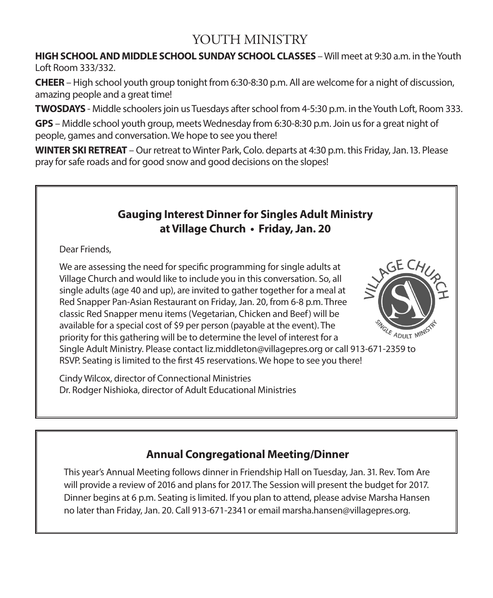## YOUTH MINISTRY

**HIGH SCHOOL AND MIDDLE SCHOOL SUNDAY SCHOOL CLASSES** – Will meet at 9:30 a.m. in the Youth Loft Room 333/332.

**CHEER** – High school youth group tonight from 6:30-8:30 p.m. All are welcome for a night of discussion, amazing people and a great time!

**TWOSDAYS** - Middle schoolers join us Tuesdays after school from 4-5:30 p.m. in the Youth Loft, Room 333.

**GPS** – Middle school youth group, meets Wednesday from 6:30-8:30 p.m. Join us for a great night of people, games and conversation. We hope to see you there!

**WINTER SKI RETREAT** – Our retreat to Winter Park, Colo. departs at 4:30 p.m. this Friday, Jan. 13. Please pray for safe roads and for good snow and good decisions on the slopes!

### **Gauging Interest Dinner for Singles Adult Ministry at Village Church • Friday, Jan. 20**

Dear Friends,

We are assessing the need for specific programming for single adults at Village Church and would like to include you in this conversation. So, all single adults (age 40 and up), are invited to gather together for a meal at Red Snapper Pan-Asian Restaurant on Friday, Jan. 20, from 6-8 p.m. Three classic Red Snapper menu items (Vegetarian, Chicken and Beef) will be available for a special cost of \$9 per person (payable at the event). The priority for this gathering will be to determine the level of interest for a Single Adult Ministry. Please contact liz.middleton@villagepres.org or call 913-671-2359 to RSVP. Seating is limited to the first 45 reservations. We hope to see you there!

Cindy Wilcox, director of Connectional Ministries Dr. Rodger Nishioka, director of Adult Educational Ministries



## **Annual Congregational Meeting/Dinner**

This year's Annual Meeting follows dinner in Friendship Hall on Tuesday, Jan. 31. Rev. Tom Are will provide a review of 2016 and plans for 2017. The Session will present the budget for 2017. Dinner begins at 6 p.m. Seating is limited. If you plan to attend, please advise Marsha Hansen no later than Friday, Jan. 20. Call 913-671-2341 or email marsha.hansen@villagepres.org.